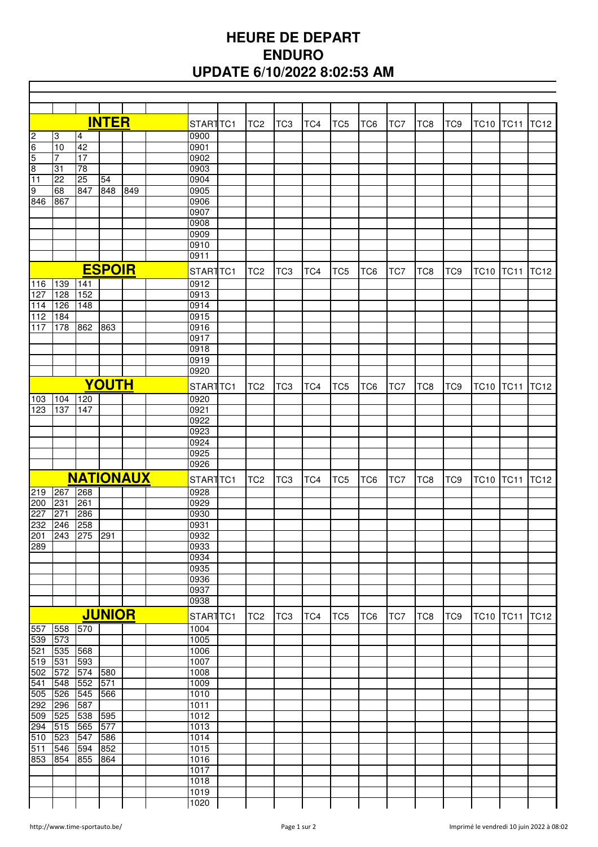## **HEURE DE DEPART ENDURO UPDATE 6/10/2022 8:02:53 AM**

|                         |                 |                  | <b>INTER</b> |     |                      | STARTIC <sub>1</sub> | TC <sub>2</sub> | TC <sub>3</sub> | TC4             | TC <sub>5</sub> | TC <sub>6</sub> | TC7 | TC <sub>8</sub> | TC <sub>9</sub> | <b>TC10</b>      | <b>TC11</b> | <b>TC12</b> |
|-------------------------|-----------------|------------------|--------------|-----|----------------------|----------------------|-----------------|-----------------|-----------------|-----------------|-----------------|-----|-----------------|-----------------|------------------|-------------|-------------|
| $\overline{\mathbf{c}}$ | 3               | $\overline{a}$   |              |     |                      | 0900                 |                 |                 |                 |                 |                 |     |                 |                 |                  |             |             |
| $6\overline{6}$         | 10              | 42               |              |     |                      | 0901                 |                 |                 |                 |                 |                 |     |                 |                 |                  |             |             |
| 5                       | 7               | 17               |              |     |                      | 0902                 |                 |                 |                 |                 |                 |     |                 |                 |                  |             |             |
| 8                       | 31              | 78               |              |     |                      | 0903                 |                 |                 |                 |                 |                 |     |                 |                 |                  |             |             |
| $\overline{11}$         | $\overline{22}$ | 25               | 54           |     |                      | 0904                 |                 |                 |                 |                 |                 |     |                 |                 |                  |             |             |
| 9                       | 68              | 847              | 848          | 849 |                      | 0905                 |                 |                 |                 |                 |                 |     |                 |                 |                  |             |             |
| 846                     | 867             |                  |              |     |                      | 0906                 |                 |                 |                 |                 |                 |     |                 |                 |                  |             |             |
|                         |                 |                  |              |     |                      | 0907                 |                 |                 |                 |                 |                 |     |                 |                 |                  |             |             |
|                         |                 |                  |              |     |                      | 0908                 |                 |                 |                 |                 |                 |     |                 |                 |                  |             |             |
|                         |                 |                  |              |     |                      | 0909                 |                 |                 |                 |                 |                 |     |                 |                 |                  |             |             |
|                         |                 |                  |              |     |                      | 0910                 |                 |                 |                 |                 |                 |     |                 |                 |                  |             |             |
|                         |                 |                  |              |     |                      | 0911                 |                 |                 |                 |                 |                 |     |                 |                 |                  |             |             |
| <b>ESPOIR</b>           |                 |                  |              |     | START <sub>TC1</sub> | TC <sub>2</sub>      | TC <sub>3</sub> | TC4             | TC <sub>5</sub> | TC6             | TC7             | TC8 | TC <sub>9</sub> | <b>TC10</b>     | <b>TC11</b>      | <b>TC12</b> |             |
| 116                     | 139             | 141              |              |     |                      | 0912                 |                 |                 |                 |                 |                 |     |                 |                 |                  |             |             |
| 127                     | 128             | 152              |              |     |                      | 0913                 |                 |                 |                 |                 |                 |     |                 |                 |                  |             |             |
| 114                     | 126             | 148              |              |     |                      | 0914                 |                 |                 |                 |                 |                 |     |                 |                 |                  |             |             |
| 112                     | 184             |                  |              |     |                      | 0915                 |                 |                 |                 |                 |                 |     |                 |                 |                  |             |             |
| 117                     | 178             | 862              | 863          |     |                      | 0916                 |                 |                 |                 |                 |                 |     |                 |                 |                  |             |             |
|                         |                 |                  |              |     |                      | 0917                 |                 |                 |                 |                 |                 |     |                 |                 |                  |             |             |
|                         |                 |                  |              |     |                      | 0918                 |                 |                 |                 |                 |                 |     |                 |                 |                  |             |             |
|                         |                 |                  |              |     |                      | 0919                 |                 |                 |                 |                 |                 |     |                 |                 |                  |             |             |
|                         |                 |                  |              |     |                      | 0920                 |                 |                 |                 |                 |                 |     |                 |                 |                  |             |             |
|                         |                 |                  | YOUTH        |     |                      | START <sub>TC1</sub> | TC <sub>2</sub> | TC <sub>3</sub> | TC4             | TC <sub>5</sub> | TC <sub>6</sub> | TC7 | TC8             | TC <sub>9</sub> | <b>TC10</b>      | <b>TC11</b> | <b>TC12</b> |
| 103                     | 104             | 120              |              |     |                      | 0920                 |                 |                 |                 |                 |                 |     |                 |                 |                  |             |             |
| 123                     | 137             | 147              |              |     |                      | 0921                 |                 |                 |                 |                 |                 |     |                 |                 |                  |             |             |
|                         |                 |                  |              |     |                      | 0922                 |                 |                 |                 |                 |                 |     |                 |                 |                  |             |             |
|                         |                 |                  |              |     |                      | 0923                 |                 |                 |                 |                 |                 |     |                 |                 |                  |             |             |
|                         |                 |                  |              |     |                      | 0924                 |                 |                 |                 |                 |                 |     |                 |                 |                  |             |             |
|                         |                 |                  |              |     |                      | 0925                 |                 |                 |                 |                 |                 |     |                 |                 |                  |             |             |
|                         |                 |                  |              |     |                      | 0926                 |                 |                 |                 |                 |                 |     |                 |                 |                  |             |             |
|                         |                 | <b>NATIONAUX</b> |              |     |                      | STARTTC1             | TC <sub>2</sub> | TC <sub>3</sub> | TC4             | TC <sub>5</sub> | TC <sub>6</sub> | TC7 | TC <sub>8</sub> | TC <sub>9</sub> | <b>TC10</b>      | <b>TC11</b> | <b>TC12</b> |
| 219                     | 267             | 268              |              |     |                      | 0928                 |                 |                 |                 |                 |                 |     |                 |                 |                  |             |             |
| 200                     | 231             | 261              |              |     |                      | 0929                 |                 |                 |                 |                 |                 |     |                 |                 |                  |             |             |
| 227                     | 271             | 286              |              |     |                      | 0930                 |                 |                 |                 |                 |                 |     |                 |                 |                  |             |             |
| 232                     | 246             | 258              |              |     |                      | 0931                 |                 |                 |                 |                 |                 |     |                 |                 |                  |             |             |
| 201                     | 243             | 275              | 291          |     |                      | 0932                 |                 |                 |                 |                 |                 |     |                 |                 |                  |             |             |
| 289                     |                 |                  |              |     |                      | 0933                 |                 |                 |                 |                 |                 |     |                 |                 |                  |             |             |
|                         |                 |                  |              |     |                      | 0934                 |                 |                 |                 |                 |                 |     |                 |                 |                  |             |             |
|                         |                 |                  |              |     |                      | 0935                 |                 |                 |                 |                 |                 |     |                 |                 |                  |             |             |
|                         |                 |                  |              |     |                      | 0936                 |                 |                 |                 |                 |                 |     |                 |                 |                  |             |             |
|                         |                 |                  |              |     |                      | 0937                 |                 |                 |                 |                 |                 |     |                 |                 |                  |             |             |
|                         |                 |                  |              |     |                      | 0938                 |                 |                 |                 |                 |                 |     |                 |                 |                  |             |             |
| <b>JUNIOR</b>           |                 |                  |              |     |                      | STARTTC1             | TC <sub>2</sub> | TC <sub>3</sub> | TC4             | TC <sub>5</sub> | TC6             | TC7 | TC8             | TC <sub>9</sub> | <b>TC10 TC11</b> |             | <b>TC12</b> |
| 557                     | 558             | 570              |              |     |                      | 1004                 |                 |                 |                 |                 |                 |     |                 |                 |                  |             |             |
| 539                     | 573             |                  |              |     |                      | 1005                 |                 |                 |                 |                 |                 |     |                 |                 |                  |             |             |
| 521                     | 535             | 568              |              |     |                      | 1006                 |                 |                 |                 |                 |                 |     |                 |                 |                  |             |             |
| 519                     | 531             | 593              |              |     |                      | 1007                 |                 |                 |                 |                 |                 |     |                 |                 |                  |             |             |
| 502                     | 572             | 574              | 580          |     |                      | 1008                 |                 |                 |                 |                 |                 |     |                 |                 |                  |             |             |
| 541                     | 548             | 552              | 571          |     |                      | 1009                 |                 |                 |                 |                 |                 |     |                 |                 |                  |             |             |
| 505                     | 526             | 545              | 566          |     |                      | 1010                 |                 |                 |                 |                 |                 |     |                 |                 |                  |             |             |
| 292                     | 296             | 587              |              |     |                      | $\frac{1011}{10}$    |                 |                 |                 |                 |                 |     |                 |                 |                  |             |             |
| 509                     | 525             | 538              | 595          |     |                      | 1012                 |                 |                 |                 |                 |                 |     |                 |                 |                  |             |             |
| 294                     | 515             | 565              | 577          |     |                      | 1013                 |                 |                 |                 |                 |                 |     |                 |                 |                  |             |             |
| 510                     | 523             | 547              | 586          |     |                      | 1014                 |                 |                 |                 |                 |                 |     |                 |                 |                  |             |             |
| 511                     | 546             | 594              | 852          |     |                      | 1015                 |                 |                 |                 |                 |                 |     |                 |                 |                  |             |             |
| 853                     | 854             | 855              | 864          |     |                      | 1016                 |                 |                 |                 |                 |                 |     |                 |                 |                  |             |             |
|                         |                 |                  |              |     |                      | 1017                 |                 |                 |                 |                 |                 |     |                 |                 |                  |             |             |
|                         |                 |                  |              |     |                      | 1018                 |                 |                 |                 |                 |                 |     |                 |                 |                  |             |             |
|                         |                 |                  |              |     |                      | 1019                 |                 |                 |                 |                 |                 |     |                 |                 |                  |             |             |
|                         |                 |                  |              |     |                      | 1020                 |                 |                 |                 |                 |                 |     |                 |                 |                  |             |             |